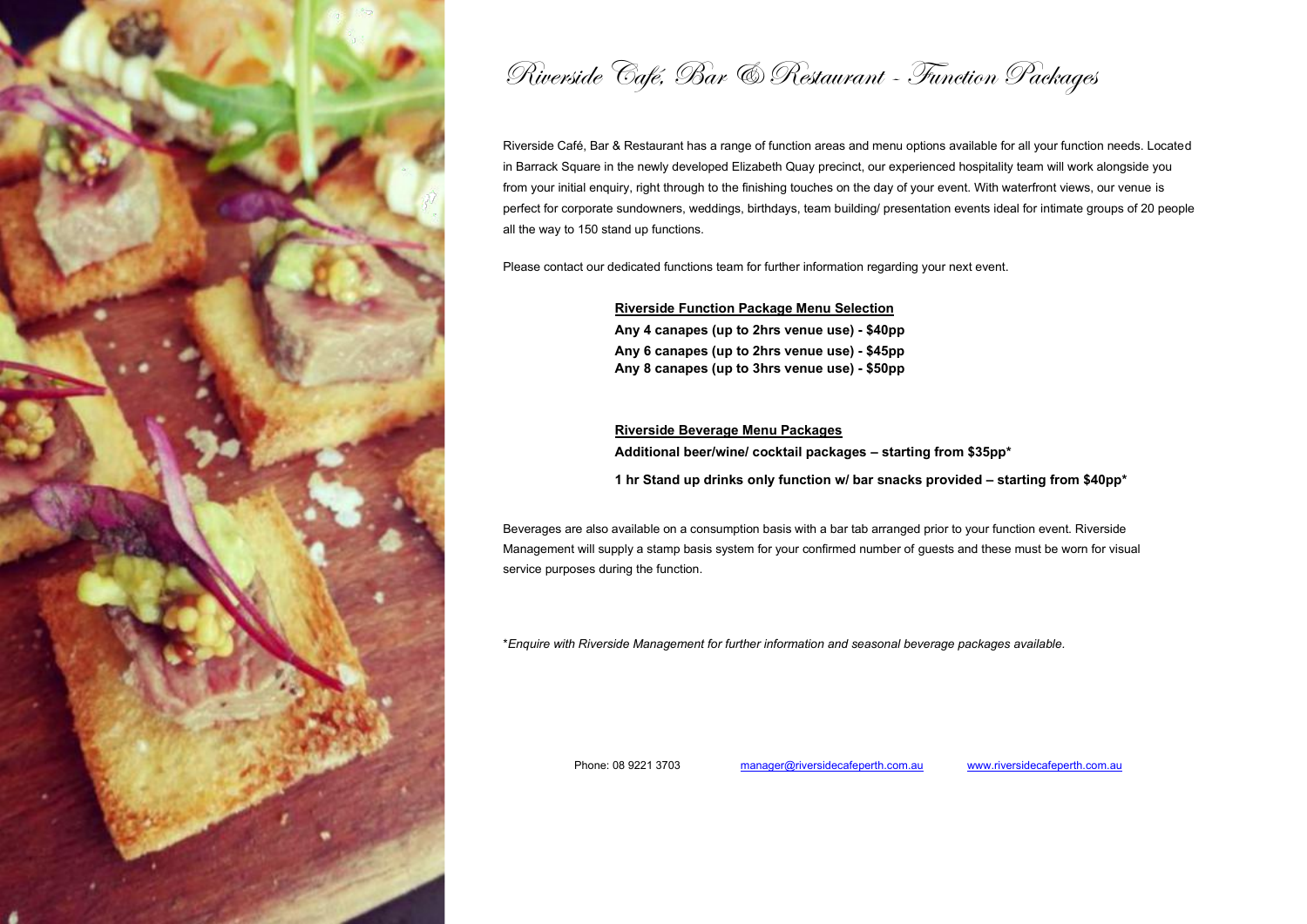

Riverside Café, Bar & Restaurant - Function Packages

Riverside Café, Bar & Restaurant has a range of function areas and menu options available for all your function needs. Located in Barrack Square in the newly developed Elizabeth Quay precinct, our experienced hospitality team will work alongside you from your initial enquiry, right through to the finishing touches on the day of your event. With waterfront views, our venue is perfect for corporate sundowners, weddings, birthdays, team building/ presentation events ideal for intimate groups of 20 people all the way to 150 stand up functions.

Please contact our dedicated functions team for further information regarding your next event.

**Riverside Function Package Menu Selection**

**Any 4 canapes (up to 2hrs venue use) - \$40pp Any 6 canapes (up to 2hrs venue use) - \$45pp Any 8 canapes (up to 3hrs venue use) - \$50pp**

**Riverside Beverage Menu Packages Additional beer/wine/ cocktail packages – starting from \$35pp\***

**1 hr Stand up drinks only function w/ bar snacks provided – starting from \$40pp\***

Beverages are also available on a consumption basis with a bar tab arranged prior to your function event. Riverside Management will supply a stamp basis system for your confirmed number of guests and these must be worn for visual service purposes during the function.

\**Enquire with Riverside Management for further information and seasonal beverage packages available.*

Phone: 08 9221 3703 manager@riversidecafeperth.com.au [www.riversidecafeperth.com.au](http://www.riversidecafeperth.com.au/)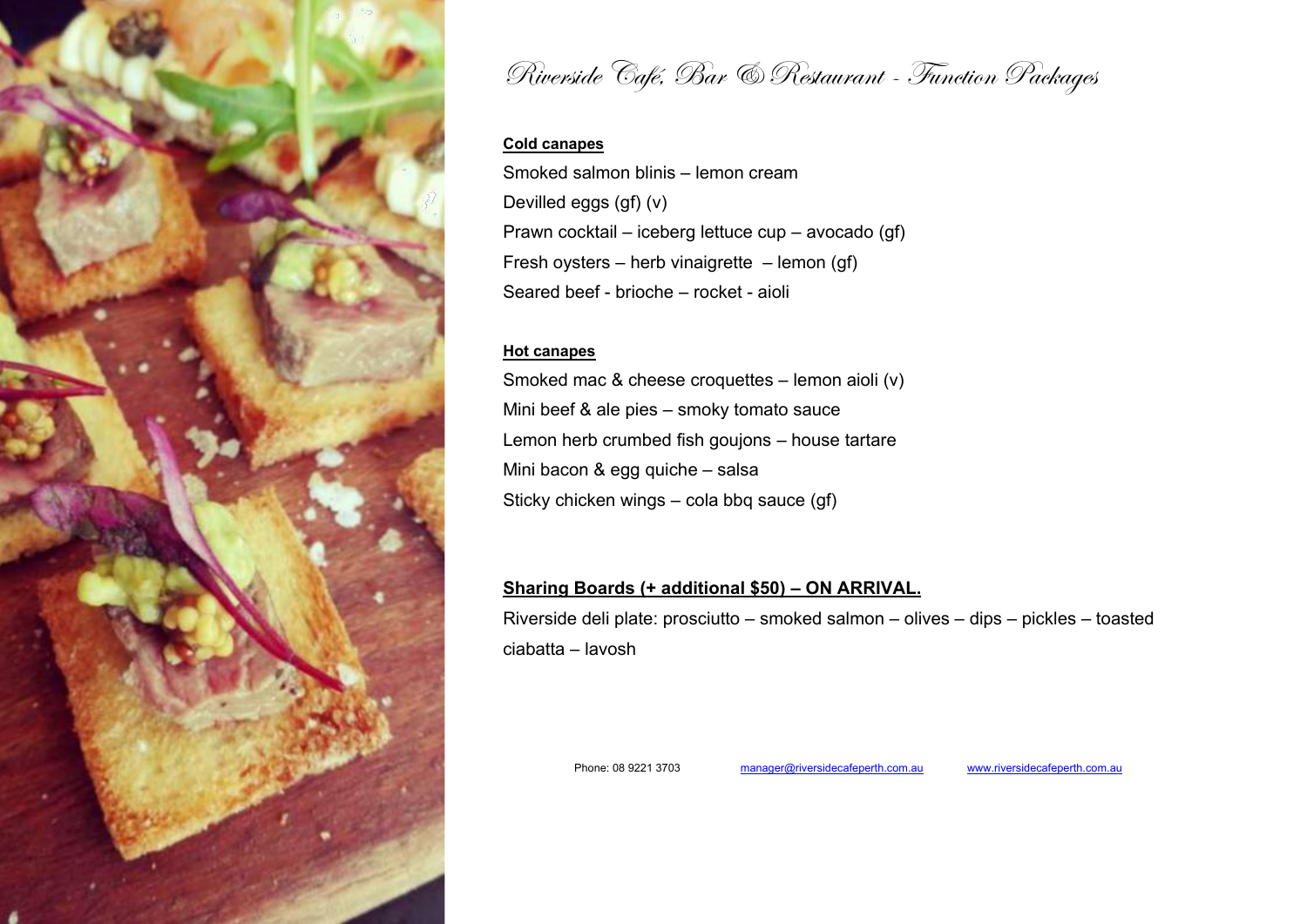

Riverside Café, Bar & Restaurant - Function Packages

# **Cold canapes**

Smoked salmon blinis – lemon cream Devilled eggs (gf) (v) Prawn cocktail – iceberg lettuce cup – avocado (gf) Fresh oysters – herb vinaigrette – lemon (gf) Seared beef - brioche – rocket - aioli

# **Hot canapes**

Smoked mac & cheese croquettes– lemon aioli (v) Mini beef & ale pies - smoky tomato sauce Lemon herb crumbed fish goujons – house tartare Mini bacon & egg quiche–salsa Sticky chicken wings – cola bbq sauce (gf)

# **Sharing Boards (+ additional \$50) – ON ARRIVAL.**

Riverside deli plate: prosciutto – smoked salmon – olives – dips – pickles – toasted ciabatta – lavosh

Phone: 08 9221 3703 manager@riversidecafeperth.com.au [www.riversidecafeperth.com.au](http://www.riversidecafeperth.com.au/)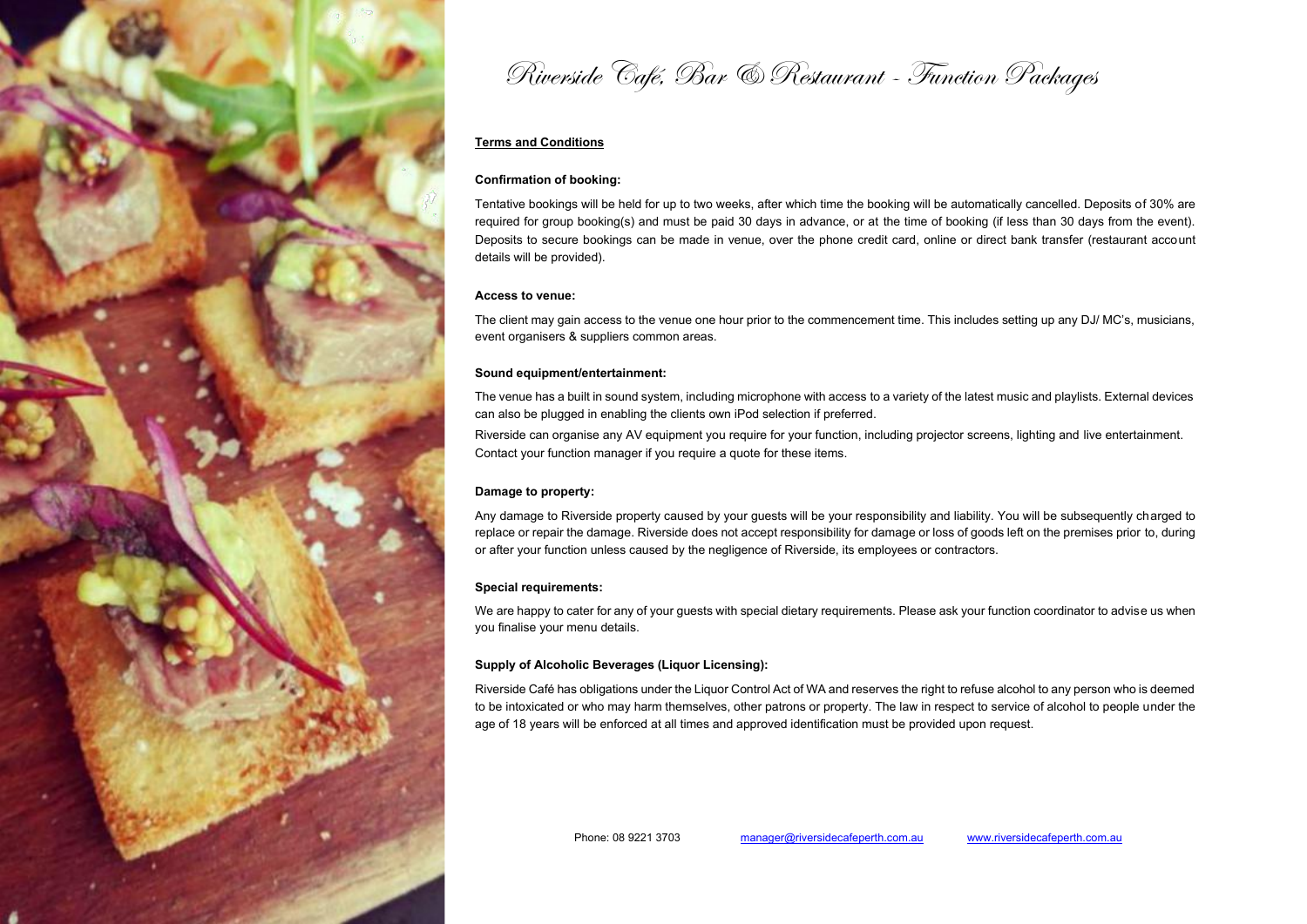

Riverside Café, Bar & Restaurant - Function Packages

## **Terms and Conditions**

### **Confirmation of booking:**

Tentative bookings will be held for up to two weeks, after which time the booking will be automatically cancelled. Deposits of 30% are required for group booking(s) and must be paid 30 days in advance, or at the time of booking (if less than 30 days from the event). Deposits to secure bookings can be made in venue, over the phone credit card, online or direct bank transfer (restaurant account details will be provided).

#### **Access to venue:**

The client may gain access to the venue one hour prior to the commencement time. This includes setting up any DJ/ MC's, musicians, event organisers & suppliers common areas.

#### **Sound equipment/entertainment:**

The venue has a built in sound system, including microphone with access to a variety of the latest music and playlists. External devices can also be plugged in enabling the clients own iPod selection if preferred.

Riverside can organise any AV equipment you require for your function, including projector screens, lighting and live entertainment. Contact your function manager if you require a quote for these items.

#### **Damage to property:**

Any damage to Riverside property caused by your guests will be your responsibility and liability. You will be subsequently charged to replace or repair the damage. Riverside does not accept responsibility for damage or loss of goods left on the premises prior to, during or after your function unless caused by the negligence of Riverside, its employees or contractors.

### **Special requirements:**

We are happy to cater for any of your guests with special dietary requirements. Please ask your function coordinator to advise us when you finalise your menu details.

#### **Supply of Alcoholic Beverages (Liquor Licensing):**

Riverside Café has obligations under the Liquor Control Act of WA and reserves the right to refuse alcohol to any person who is deemed to be intoxicated or who may harm themselves, other patrons or property. The law in respect to service of alcohol to people under the age of 18 years will be enforced at all times and approved identification must be provided upon request.